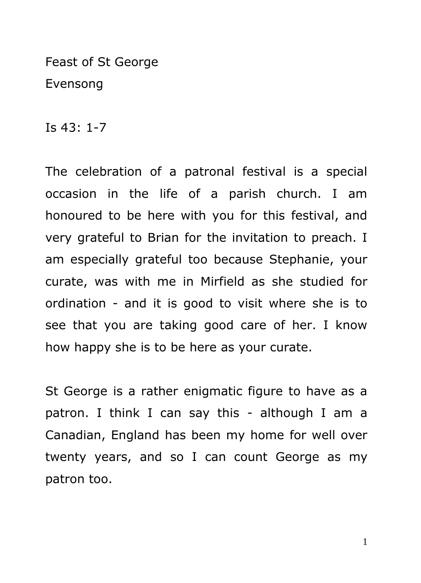Feast of St George Evensong

Is 43: 1-7

The celebration of a patronal festival is a special occasion in the life of a parish church. I am honoured to be here with you for this festival, and very grateful to Brian for the invitation to preach. I am especially grateful too because Stephanie, your curate, was with me in Mirfield as she studied for ordination - and it is good to visit where she is to see that you are taking good care of her. I know how happy she is to be here as your curate.

St George is a rather enigmatic figure to have as a patron. I think I can say this - although I am a Canadian, England has been my home for well over twenty years, and so I can count George as my patron too.

1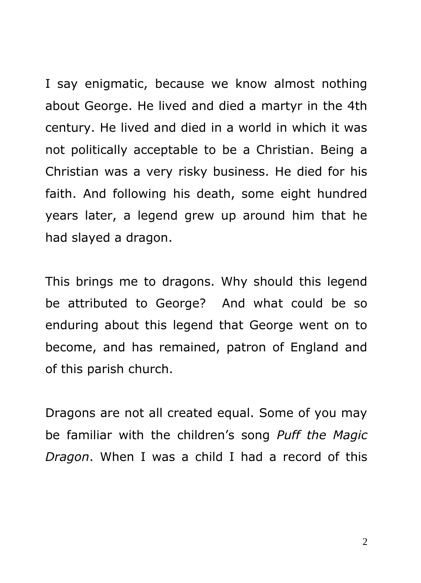I say enigmatic, because we know almost nothing about George. He lived and died a martyr in the 4th century. He lived and died in a world in which it was not politically acceptable to be a Christian. Being a Christian was a very risky business. He died for his faith. And following his death, some eight hundred years later, a legend grew up around him that he had slayed a dragon.

This brings me to dragons. Why should this legend be attributed to George? And what could be so enduring about this legend that George went on to become, and has remained, patron of England and of this parish church.

Dragons are not all created equal. Some of you may be familiar with the children's song *Puff the Magic Dragon*. When I was a child I had a record of this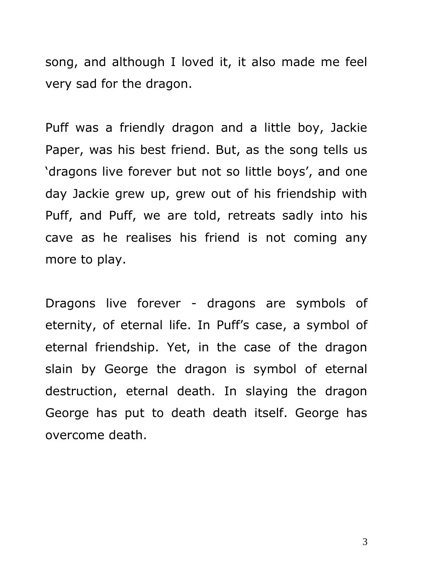song, and although I loved it, it also made me feel very sad for the dragon.

Puff was a friendly dragon and a little boy, Jackie Paper, was his best friend. But, as the song tells us 'dragons live forever but not so little boys', and one day Jackie grew up, grew out of his friendship with Puff, and Puff, we are told, retreats sadly into his cave as he realises his friend is not coming any more to play.

Dragons live forever - dragons are symbols of eternity, of eternal life. In Puff's case, a symbol of eternal friendship. Yet, in the case of the dragon slain by George the dragon is symbol of eternal destruction, eternal death. In slaying the dragon George has put to death death itself. George has overcome death.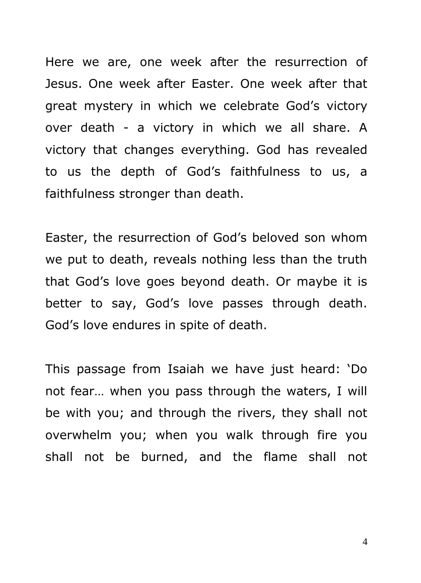Here we are, one week after the resurrection of Jesus. One week after Easter. One week after that great mystery in which we celebrate God's victory over death - a victory in which we all share. A victory that changes everything. God has revealed to us the depth of God's faithfulness to us, a faithfulness stronger than death.

Easter, the resurrection of God's beloved son whom we put to death, reveals nothing less than the truth that God's love goes beyond death. Or maybe it is better to say, God's love passes through death. God's love endures in spite of death.

This passage from Isaiah we have just heard: 'Do not fear… when you pass through the waters, I will be with you; and through the rivers, they shall not overwhelm you; when you walk through fire you shall not be burned, and the flame shall not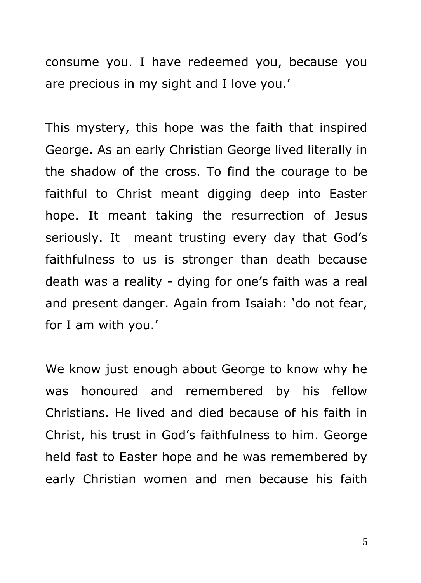consume you. I have redeemed you, because you are precious in my sight and I love you.'

This mystery, this hope was the faith that inspired George. As an early Christian George lived literally in the shadow of the cross. To find the courage to be faithful to Christ meant digging deep into Easter hope. It meant taking the resurrection of Jesus seriously. It meant trusting every day that God's faithfulness to us is stronger than death because death was a reality - dying for one's faith was a real and present danger. Again from Isaiah: 'do not fear, for I am with you.'

We know just enough about George to know why he was honoured and remembered by his fellow Christians. He lived and died because of his faith in Christ, his trust in God's faithfulness to him. George held fast to Easter hope and he was remembered by early Christian women and men because his faith

5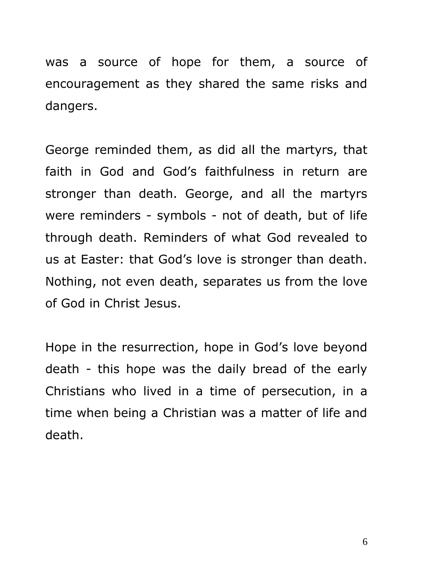was a source of hope for them, a source of encouragement as they shared the same risks and dangers.

George reminded them, as did all the martyrs, that faith in God and God's faithfulness in return are stronger than death. George, and all the martyrs were reminders - symbols - not of death, but of life through death. Reminders of what God revealed to us at Easter: that God's love is stronger than death. Nothing, not even death, separates us from the love of God in Christ Jesus.

Hope in the resurrection, hope in God's love beyond death - this hope was the daily bread of the early Christians who lived in a time of persecution, in a time when being a Christian was a matter of life and death.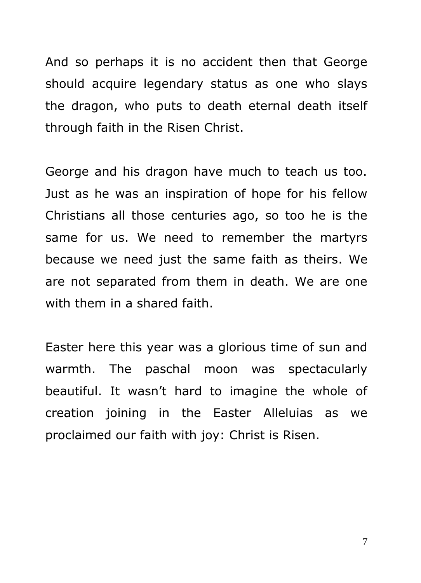And so perhaps it is no accident then that George should acquire legendary status as one who slays the dragon, who puts to death eternal death itself through faith in the Risen Christ.

George and his dragon have much to teach us too. Just as he was an inspiration of hope for his fellow Christians all those centuries ago, so too he is the same for us. We need to remember the martyrs because we need just the same faith as theirs. We are not separated from them in death. We are one with them in a shared faith.

Easter here this year was a glorious time of sun and warmth. The paschal moon was spectacularly beautiful. It wasn't hard to imagine the whole of creation joining in the Easter Alleluias as we proclaimed our faith with joy: Christ is Risen.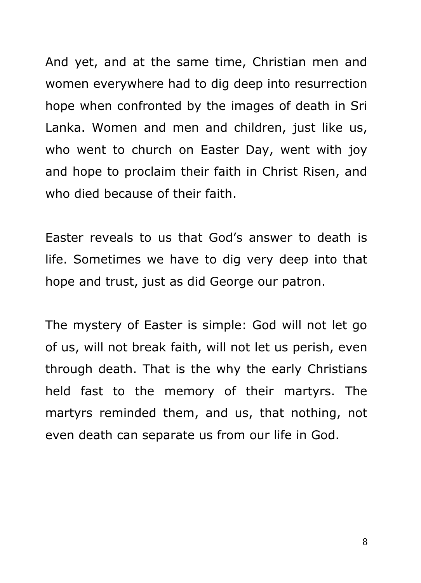And yet, and at the same time, Christian men and women everywhere had to dig deep into resurrection hope when confronted by the images of death in Sri Lanka. Women and men and children, just like us, who went to church on Easter Day, went with joy and hope to proclaim their faith in Christ Risen, and who died because of their faith.

Easter reveals to us that God's answer to death is life. Sometimes we have to dig very deep into that hope and trust, just as did George our patron.

The mystery of Easter is simple: God will not let go of us, will not break faith, will not let us perish, even through death. That is the why the early Christians held fast to the memory of their martyrs. The martyrs reminded them, and us, that nothing, not even death can separate us from our life in God.